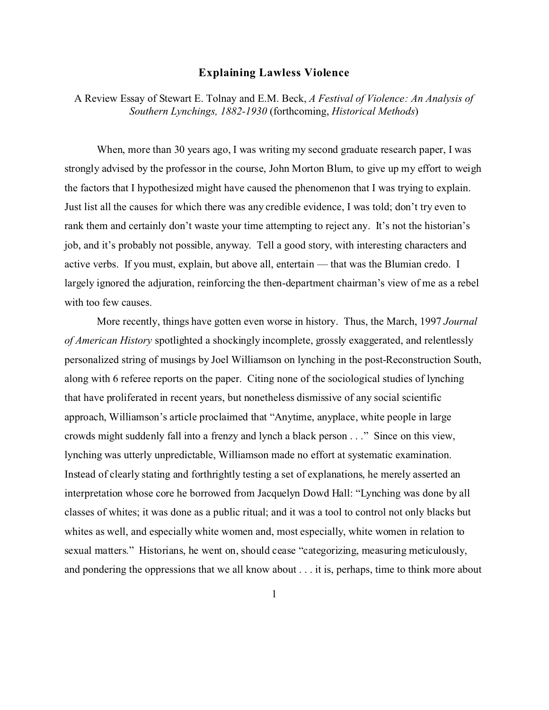## **Explaining Lawless Violence**

A Review Essay of Stewart E. Tolnay and E.M. Beck, *A Festival of Violence: An Analysis of Southern Lynchings, 1882-1930* (forthcoming, *Historical Methods*)

When, more than 30 years ago, I was writing my second graduate research paper, I was strongly advised by the professor in the course, John Morton Blum, to give up my effort to weigh the factors that I hypothesized might have caused the phenomenon that I was trying to explain. Just list all the causes for which there was any credible evidence, I was told; don't try even to rank them and certainly don't waste your time attempting to reject any. It's not the historian's job, and it's probably not possible, anyway. Tell a good story, with interesting characters and active verbs. If you must, explain, but above all, entertain — that was the Blumian credo. I largely ignored the adjuration, reinforcing the then-department chairman's view of me as a rebel with too few causes.

More recently, things have gotten even worse in history. Thus, the March, 1997 *Journal of American History* spotlighted a shockingly incomplete, grossly exaggerated, and relentlessly personalized string of musings by Joel Williamson on lynching in the post-Reconstruction South, along with 6 referee reports on the paper. Citing none of the sociological studies of lynching that have proliferated in recent years, but nonetheless dismissive of any social scientific approach, Williamson's article proclaimed that "Anytime, anyplace, white people in large crowds might suddenly fall into a frenzy and lynch a black person . . ." Since on this view, lynching was utterly unpredictable, Williamson made no effort at systematic examination. Instead of clearly stating and forthrightly testing a set of explanations, he merely asserted an interpretation whose core he borrowed from Jacquelyn Dowd Hall: "Lynching was done by all classes of whites; it was done as a public ritual; and it was a tool to control not only blacks but whites as well, and especially white women and, most especially, white women in relation to sexual matters." Historians, he went on, should cease "categorizing, measuring meticulously, and pondering the oppressions that we all know about . . . it is, perhaps, time to think more about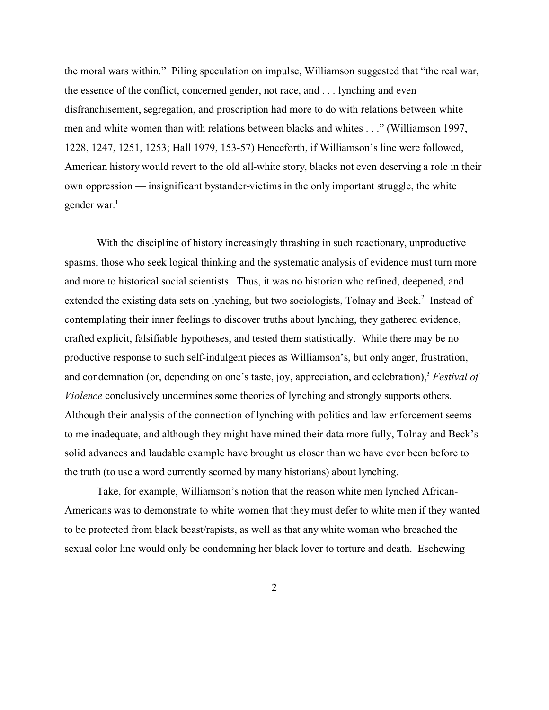the moral wars within." Piling speculation on impulse, Williamson suggested that "the real war, the essence of the conflict, concerned gender, not race, and . . . lynching and even disfranchisement, segregation, and proscription had more to do with relations between white men and white women than with relations between blacks and whites . . ." (Williamson 1997, 1228, 1247, 1251, 1253; Hall 1979, 153-57) Henceforth, if Williamson's line were followed, American history would revert to the old all-white story, blacks not even deserving a role in their own oppression — insignificant bystander-victims in the only important struggle, the white gender war. $<sup>1</sup>$ </sup>

With the discipline of history increasingly thrashing in such reactionary, unproductive spasms, those who seek logical thinking and the systematic analysis of evidence must turn more and more to historical social scientists. Thus, it was no historian who refined, deepened, and extended the existing data sets on lynching, but two sociologists, Tolnay and Beck.<sup>2</sup> Instead of contemplating their inner feelings to discover truths about lynching, they gathered evidence, crafted explicit, falsifiable hypotheses, and tested them statistically. While there may be no productive response to such self-indulgent pieces as Williamson's, but only anger, frustration, and condemnation (or, depending on one's taste, joy, appreciation, and celebration),<sup>3</sup> *Festival of Violence* conclusively undermines some theories of lynching and strongly supports others. Although their analysis of the connection of lynching with politics and law enforcement seems to me inadequate, and although they might have mined their data more fully, Tolnay and Beck's solid advances and laudable example have brought us closer than we have ever been before to the truth (to use a word currently scorned by many historians) about lynching.

Take, for example, Williamson's notion that the reason white men lynched African-Americans was to demonstrate to white women that they must defer to white men if they wanted to be protected from black beast/rapists, as well as that any white woman who breached the sexual color line would only be condemning her black lover to torture and death. Eschewing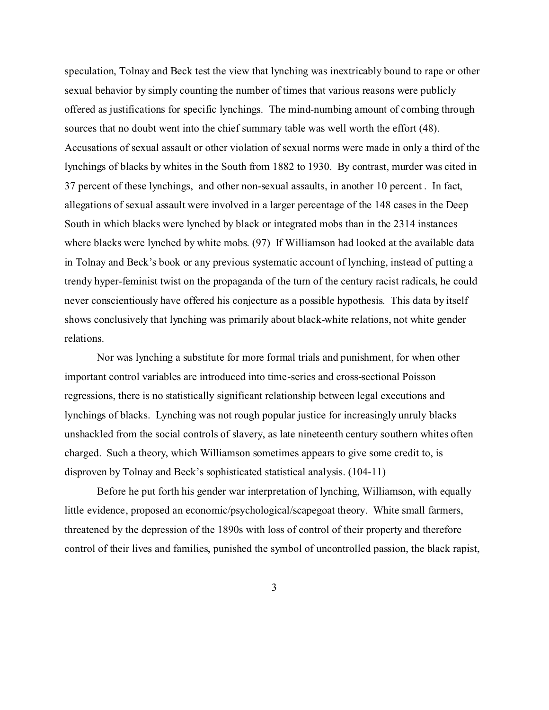speculation, Tolnay and Beck test the view that lynching was inextricably bound to rape or other sexual behavior by simply counting the number of times that various reasons were publicly offered as justifications for specific lynchings. The mind-numbing amount of combing through sources that no doubt went into the chief summary table was well worth the effort (48). Accusations of sexual assault or other violation of sexual norms were made in only a third of the lynchings of blacks by whites in the South from 1882 to 1930. By contrast, murder was cited in 37 percent of these lynchings, and other non-sexual assaults, in another 10 percent . In fact, allegations of sexual assault were involved in a larger percentage of the 148 cases in the Deep South in which blacks were lynched by black or integrated mobs than in the 2314 instances where blacks were lynched by white mobs. (97) If Williamson had looked at the available data in Tolnay and Beck's book or any previous systematic account of lynching, instead of putting a trendy hyper-feminist twist on the propaganda of the turn of the century racist radicals, he could never conscientiously have offered his conjecture as a possible hypothesis. This data by itself shows conclusively that lynching was primarily about black-white relations, not white gender relations.

Nor was lynching a substitute for more formal trials and punishment, for when other important control variables are introduced into time-series and cross-sectional Poisson regressions, there is no statistically significant relationship between legal executions and lynchings of blacks. Lynching was not rough popular justice for increasingly unruly blacks unshackled from the social controls of slavery, as late nineteenth century southern whites often charged. Such a theory, which Williamson sometimes appears to give some credit to, is disproven by Tolnay and Beck's sophisticated statistical analysis. (104-11)

Before he put forth his gender war interpretation of lynching, Williamson, with equally little evidence, proposed an economic/psychological/scapegoat theory. White small farmers, threatened by the depression of the 1890s with loss of control of their property and therefore control of their lives and families, punished the symbol of uncontrolled passion, the black rapist,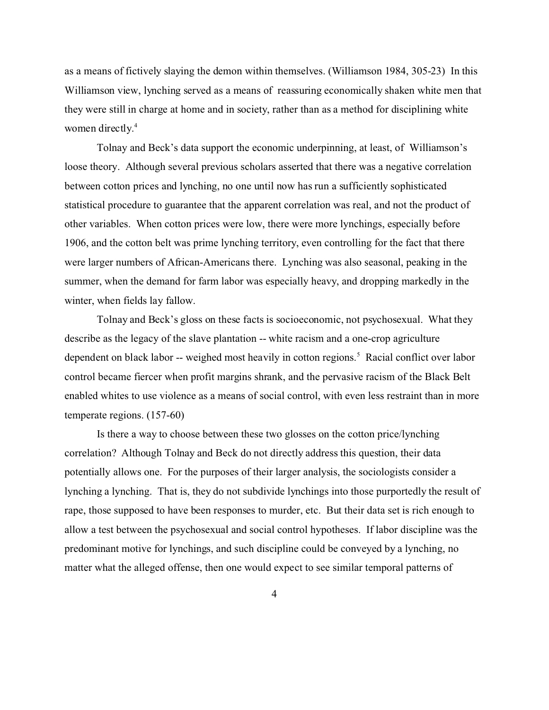as a means of fictively slaying the demon within themselves. (Williamson 1984, 305-23) In this Williamson view, lynching served as a means of reassuring economically shaken white men that they were still in charge at home and in society, rather than as a method for disciplining white women directly.<sup>4</sup>

Tolnay and Beck's data support the economic underpinning, at least, of Williamson's loose theory. Although several previous scholars asserted that there was a negative correlation between cotton prices and lynching, no one until now has run a sufficiently sophisticated statistical procedure to guarantee that the apparent correlation was real, and not the product of other variables. When cotton prices were low, there were more lynchings, especially before 1906, and the cotton belt was prime lynching territory, even controlling for the fact that there were larger numbers of African-Americans there. Lynching was also seasonal, peaking in the summer, when the demand for farm labor was especially heavy, and dropping markedly in the winter, when fields lay fallow.

Tolnay and Beck's gloss on these facts is socioeconomic, not psychosexual. What they describe as the legacy of the slave plantation -- white racism and a one-crop agriculture dependent on black labor -- weighed most heavily in cotton regions.<sup>5</sup> Racial conflict over labor control became fiercer when profit margins shrank, and the pervasive racism of the Black Belt enabled whites to use violence as a means of social control, with even less restraint than in more temperate regions. (157-60)

Is there a way to choose between these two glosses on the cotton price/lynching correlation? Although Tolnay and Beck do not directly address this question, their data potentially allows one. For the purposes of their larger analysis, the sociologists consider a lynching a lynching. That is, they do not subdivide lynchings into those purportedly the result of rape, those supposed to have been responses to murder, etc. But their data set is rich enough to allow a test between the psychosexual and social control hypotheses. If labor discipline was the predominant motive for lynchings, and such discipline could be conveyed by a lynching, no matter what the alleged offense, then one would expect to see similar temporal patterns of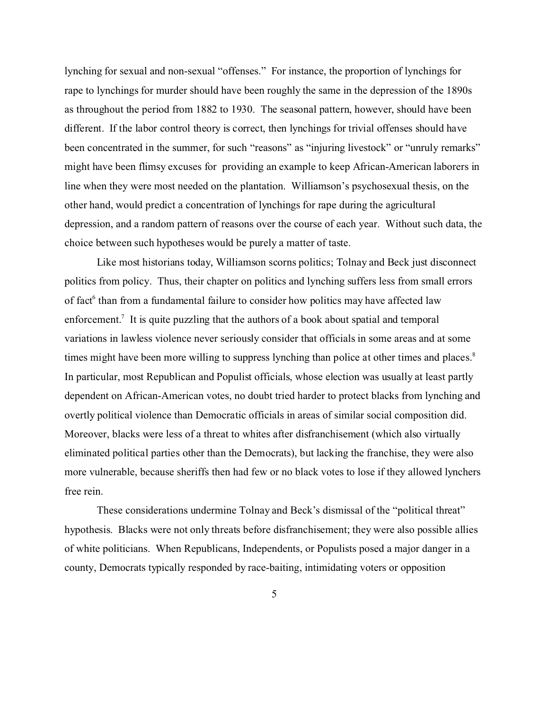lynching for sexual and non-sexual "offenses." For instance, the proportion of lynchings for rape to lynchings for murder should have been roughly the same in the depression of the 1890s as throughout the period from 1882 to 1930. The seasonal pattern, however, should have been different. If the labor control theory is correct, then lynchings for trivial offenses should have been concentrated in the summer, for such "reasons" as "injuring livestock" or "unruly remarks" might have been flimsy excuses for providing an example to keep African-American laborers in line when they were most needed on the plantation. Williamson's psychosexual thesis, on the other hand, would predict a concentration of lynchings for rape during the agricultural depression, and a random pattern of reasons over the course of each year. Without such data, the choice between such hypotheses would be purely a matter of taste.

Like most historians today, Williamson scorns politics; Tolnay and Beck just disconnect politics from policy. Thus, their chapter on politics and lynching suffers less from small errors of fact<sup>6</sup> than from a fundamental failure to consider how politics may have affected law enforcement.<sup>7</sup> It is quite puzzling that the authors of a book about spatial and temporal variations in lawless violence never seriously consider that officials in some areas and at some times might have been more willing to suppress lynching than police at other times and places.<sup>8</sup> In particular, most Republican and Populist officials, whose election was usually at least partly dependent on African-American votes, no doubt tried harder to protect blacks from lynching and overtly political violence than Democratic officials in areas of similar social composition did. Moreover, blacks were less of a threat to whites after disfranchisement (which also virtually eliminated political parties other than the Democrats), but lacking the franchise, they were also more vulnerable, because sheriffs then had few or no black votes to lose if they allowed lynchers free rein.

These considerations undermine Tolnay and Beck's dismissal of the "political threat" hypothesis. Blacks were not only threats before disfranchisement; they were also possible allies of white politicians. When Republicans, Independents, or Populists posed a major danger in a county, Democrats typically responded by race-baiting, intimidating voters or opposition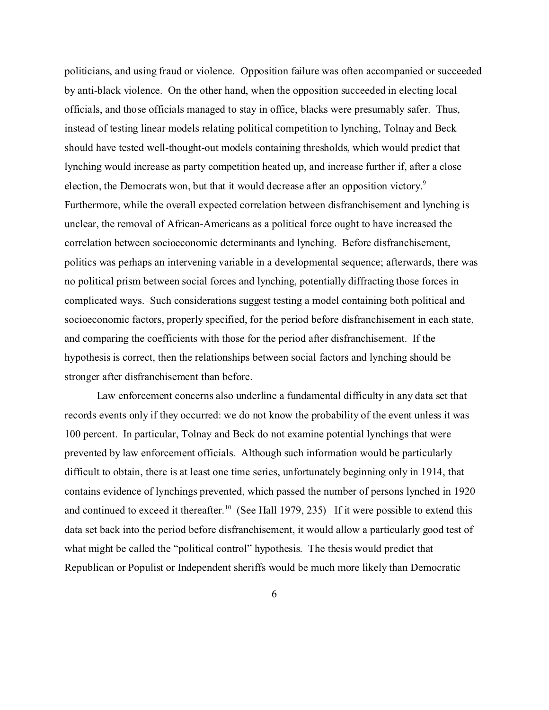politicians, and using fraud or violence. Opposition failure was often accompanied or succeeded by anti-black violence. On the other hand, when the opposition succeeded in electing local officials, and those officials managed to stay in office, blacks were presumably safer. Thus, instead of testing linear models relating political competition to lynching, Tolnay and Beck should have tested well-thought-out models containing thresholds, which would predict that lynching would increase as party competition heated up, and increase further if, after a close election, the Democrats won, but that it would decrease after an opposition victory.<sup>9</sup> Furthermore, while the overall expected correlation between disfranchisement and lynching is unclear, the removal of African-Americans as a political force ought to have increased the correlation between socioeconomic determinants and lynching. Before disfranchisement, politics was perhaps an intervening variable in a developmental sequence; afterwards, there was no political prism between social forces and lynching, potentially diffracting those forces in complicated ways. Such considerations suggest testing a model containing both political and socioeconomic factors, properly specified, for the period before disfranchisement in each state, and comparing the coefficients with those for the period after disfranchisement. If the hypothesis is correct, then the relationships between social factors and lynching should be stronger after disfranchisement than before.

Law enforcement concerns also underline a fundamental difficulty in any data set that records events only if they occurred: we do not know the probability of the event unless it was 100 percent. In particular, Tolnay and Beck do not examine potential lynchings that were prevented by law enforcement officials. Although such information would be particularly difficult to obtain, there is at least one time series, unfortunately beginning only in 1914, that contains evidence of lynchings prevented, which passed the number of persons lynched in 1920 and continued to exceed it thereafter.<sup>10</sup> (See Hall 1979, 235) If it were possible to extend this data set back into the period before disfranchisement, it would allow a particularly good test of what might be called the "political control" hypothesis. The thesis would predict that Republican or Populist or Independent sheriffs would be much more likely than Democratic

6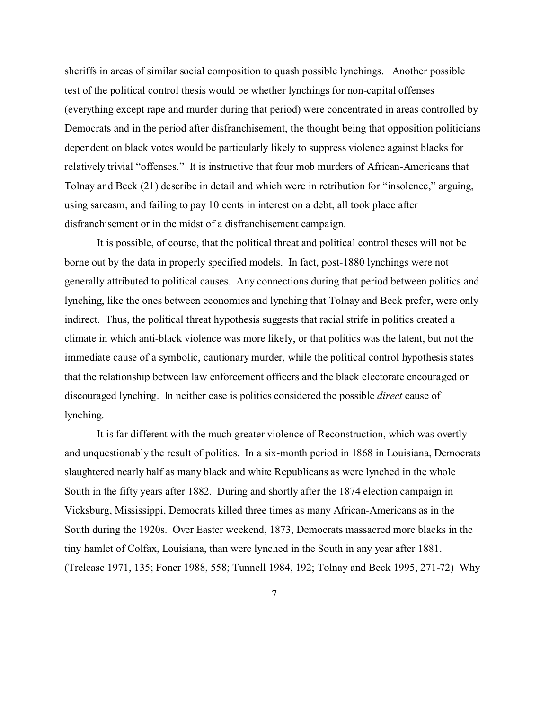sheriffs in areas of similar social composition to quash possible lynchings. Another possible test of the political control thesis would be whether lynchings for non-capital offenses (everything except rape and murder during that period) were concentrated in areas controlled by Democrats and in the period after disfranchisement, the thought being that opposition politicians dependent on black votes would be particularly likely to suppress violence against blacks for relatively trivial "offenses." It is instructive that four mob murders of African-Americans that Tolnay and Beck (21) describe in detail and which were in retribution for "insolence," arguing, using sarcasm, and failing to pay 10 cents in interest on a debt, all took place after disfranchisement or in the midst of a disfranchisement campaign.

It is possible, of course, that the political threat and political control theses will not be borne out by the data in properly specified models. In fact, post-1880 lynchings were not generally attributed to political causes. Any connections during that period between politics and lynching, like the ones between economics and lynching that Tolnay and Beck prefer, were only indirect. Thus, the political threat hypothesis suggests that racial strife in politics created a climate in which anti-black violence was more likely, or that politics was the latent, but not the immediate cause of a symbolic, cautionary murder, while the political control hypothesis states that the relationship between law enforcement officers and the black electorate encouraged or discouraged lynching. In neither case is politics considered the possible *direct* cause of lynching.

It is far different with the much greater violence of Reconstruction, which was overtly and unquestionably the result of politics. In a six-month period in 1868 in Louisiana, Democrats slaughtered nearly half as many black and white Republicans as were lynched in the whole South in the fifty years after 1882. During and shortly after the 1874 election campaign in Vicksburg, Mississippi, Democrats killed three times as many African-Americans as in the South during the 1920s. Over Easter weekend, 1873, Democrats massacred more blacks in the tiny hamlet of Colfax, Louisiana, than were lynched in the South in any year after 1881. (Trelease 1971, 135; Foner 1988, 558; Tunnell 1984, 192; Tolnay and Beck 1995, 271-72) Why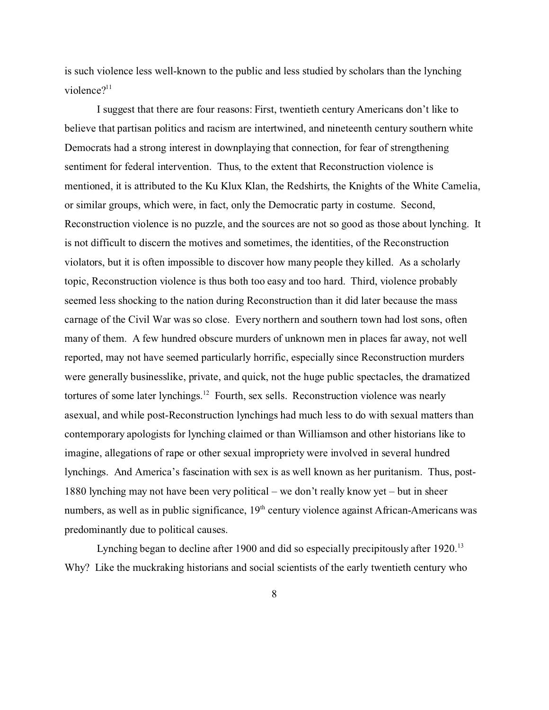is such violence less well-known to the public and less studied by scholars than the lynching violence $?$ <sup>11</sup>

I suggest that there are four reasons: First, twentieth century Americans don't like to believe that partisan politics and racism are intertwined, and nineteenth century southern white Democrats had a strong interest in downplaying that connection, for fear of strengthening sentiment for federal intervention. Thus, to the extent that Reconstruction violence is mentioned, it is attributed to the Ku Klux Klan, the Redshirts, the Knights of the White Camelia, or similar groups, which were, in fact, only the Democratic party in costume. Second, Reconstruction violence is no puzzle, and the sources are not so good as those about lynching. It is not difficult to discern the motives and sometimes, the identities, of the Reconstruction violators, but it is often impossible to discover how many people they killed. As a scholarly topic, Reconstruction violence is thus both too easy and too hard. Third, violence probably seemed less shocking to the nation during Reconstruction than it did later because the mass carnage of the Civil War was so close. Every northern and southern town had lost sons, often many of them. A few hundred obscure murders of unknown men in places far away, not well reported, may not have seemed particularly horrific, especially since Reconstruction murders were generally businesslike, private, and quick, not the huge public spectacles, the dramatized tortures of some later lynchings.<sup>12</sup> Fourth, sex sells. Reconstruction violence was nearly asexual, and while post-Reconstruction lynchings had much less to do with sexual matters than contemporary apologists for lynching claimed or than Williamson and other historians like to imagine, allegations of rape or other sexual impropriety were involved in several hundred lynchings. And America's fascination with sex is as well known as her puritanism. Thus, post-1880 lynching may not have been very political – we don't really know yet – but in sheer numbers, as well as in public significance, 19<sup>th</sup> century violence against African-Americans was predominantly due to political causes.

Lynching began to decline after 1900 and did so especially precipitously after 1920.<sup>13</sup> Why? Like the muckraking historians and social scientists of the early twentieth century who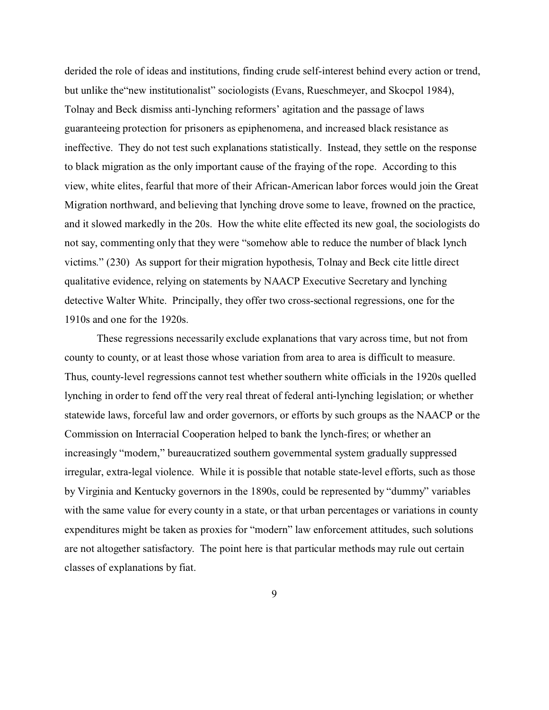derided the role of ideas and institutions, finding crude self-interest behind every action or trend, but unlike the"new institutionalist" sociologists (Evans, Rueschmeyer, and Skocpol 1984), Tolnay and Beck dismiss anti-lynching reformers' agitation and the passage of laws guaranteeing protection for prisoners as epiphenomena, and increased black resistance as ineffective. They do not test such explanations statistically. Instead, they settle on the response to black migration as the only important cause of the fraying of the rope. According to this view, white elites, fearful that more of their African-American labor forces would join the Great Migration northward, and believing that lynching drove some to leave, frowned on the practice, and it slowed markedly in the 20s. How the white elite effected its new goal, the sociologists do not say, commenting only that they were "somehow able to reduce the number of black lynch victims." (230) As support for their migration hypothesis, Tolnay and Beck cite little direct qualitative evidence, relying on statements by NAACP Executive Secretary and lynching detective Walter White. Principally, they offer two cross-sectional regressions, one for the 1910s and one for the 1920s.

These regressions necessarily exclude explanations that vary across time, but not from county to county, or at least those whose variation from area to area is difficult to measure. Thus, county-level regressions cannot test whether southern white officials in the 1920s quelled lynching in order to fend off the very real threat of federal anti-lynching legislation; or whether statewide laws, forceful law and order governors, or efforts by such groups as the NAACP or the Commission on Interracial Cooperation helped to bank the lynch-fires; or whether an increasingly "modern," bureaucratized southern governmental system gradually suppressed irregular, extra-legal violence. While it is possible that notable state-level efforts, such as those by Virginia and Kentucky governors in the 1890s, could be represented by "dummy" variables with the same value for every county in a state, or that urban percentages or variations in county expenditures might be taken as proxies for "modern" law enforcement attitudes, such solutions are not altogether satisfactory. The point here is that particular methods may rule out certain classes of explanations by fiat.

9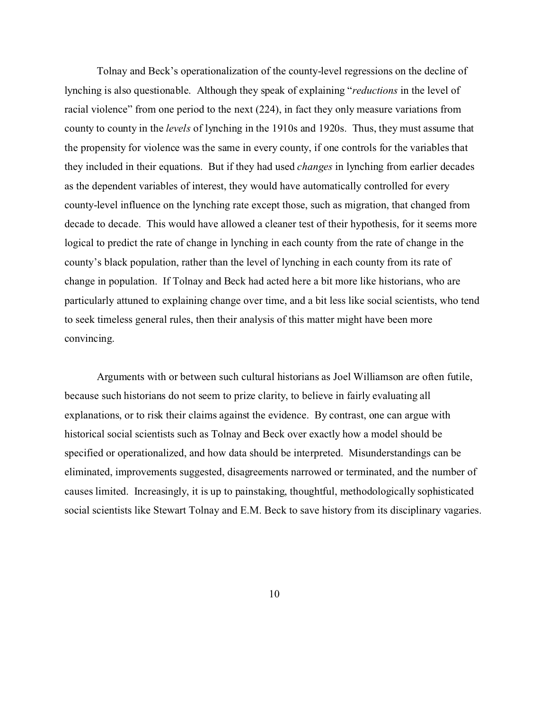Tolnay and Beck's operationalization of the county-level regressions on the decline of lynching is also questionable. Although they speak of explaining "*reductions* in the level of racial violence" from one period to the next (224), in fact they only measure variations from county to county in the *levels* of lynching in the 1910s and 1920s. Thus, they must assume that the propensity for violence was the same in every county, if one controls for the variables that they included in their equations. But if they had used *changes* in lynching from earlier decades as the dependent variables of interest, they would have automatically controlled for every county-level influence on the lynching rate except those, such as migration, that changed from decade to decade. This would have allowed a cleaner test of their hypothesis, for it seems more logical to predict the rate of change in lynching in each county from the rate of change in the county's black population, rather than the level of lynching in each county from its rate of change in population. If Tolnay and Beck had acted here a bit more like historians, who are particularly attuned to explaining change over time, and a bit less like social scientists, who tend to seek timeless general rules, then their analysis of this matter might have been more convincing.

Arguments with or between such cultural historians as Joel Williamson are often futile, because such historians do not seem to prize clarity, to believe in fairly evaluating all explanations, or to risk their claims against the evidence. By contrast, one can argue with historical social scientists such as Tolnay and Beck over exactly how a model should be specified or operationalized, and how data should be interpreted. Misunderstandings can be eliminated, improvements suggested, disagreements narrowed or terminated, and the number of causes limited. Increasingly, it is up to painstaking, thoughtful, methodologically sophisticated social scientists like Stewart Tolnay and E.M. Beck to save history from its disciplinary vagaries.

10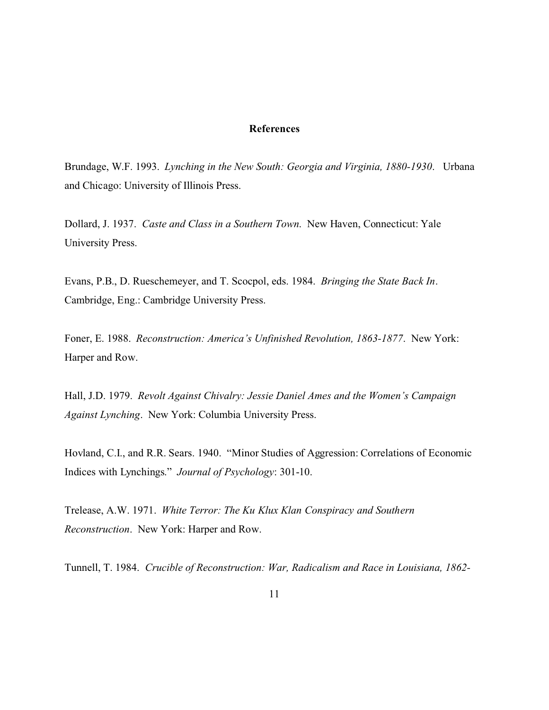## **References**

Brundage, W.F. 1993. *Lynching in the New South: Georgia and Virginia, 1880-1930*. Urbana and Chicago: University of Illinois Press.

Dollard, J. 1937. *Caste and Class in a Southern Town*. New Haven, Connecticut: Yale University Press.

Evans, P.B., D. Rueschemeyer, and T. Scocpol, eds. 1984. *Bringing the State Back In*. Cambridge, Eng.: Cambridge University Press.

Foner, E. 1988. *Reconstruction: America's Unfinished Revolution, 1863-1877*. New York: Harper and Row.

Hall, J.D. 1979. *Revolt Against Chivalry: Jessie Daniel Ames and the Women's Campaign Against Lynching*. New York: Columbia University Press.

Hovland, C.I., and R.R. Sears. 1940. "Minor Studies of Aggression: Correlations of Economic Indices with Lynchings." *Journal of Psychology*: 301-10.

Trelease, A.W. 1971. *White Terror: The Ku Klux Klan Conspiracy and Southern Reconstruction*. New York: Harper and Row.

Tunnell, T. 1984. *Crucible of Reconstruction: War, Radicalism and Race in Louisiana, 1862-*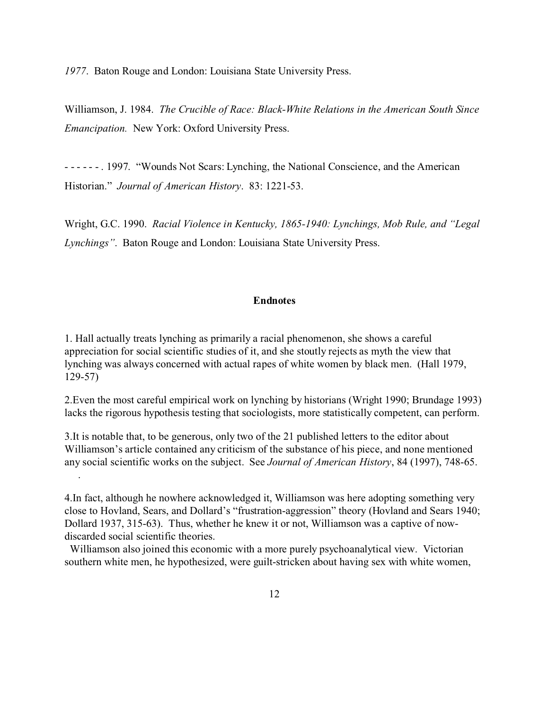*1977*. Baton Rouge and London: Louisiana State University Press.

Williamson, J. 1984. *The Crucible of Race: Black-White Relations in the American South Since Emancipation.* New York: Oxford University Press.

- - - - - - . 1997. "Wounds Not Scars: Lynching, the National Conscience, and the American Historian." *Journal of American History*. 83: 1221-53.

Wright, G.C. 1990. *Racial Violence in Kentucky, 1865-1940: Lynchings, Mob Rule, and "Legal Lynchings"*. Baton Rouge and London: Louisiana State University Press.

## **Endnotes**

1. Hall actually treats lynching as primarily a racial phenomenon, she shows a careful appreciation for social scientific studies of it, and she stoutly rejects as myth the view that lynching was always concerned with actual rapes of white women by black men. (Hall 1979, 129-57)

2.Even the most careful empirical work on lynching by historians (Wright 1990; Brundage 1993) lacks the rigorous hypothesis testing that sociologists, more statistically competent, can perform.

3.It is notable that, to be generous, only two of the 21 published letters to the editor about Williamson's article contained any criticism of the substance of his piece, and none mentioned any social scientific works on the subject. See *Journal of American History*, 84 (1997), 748-65. .

4.In fact, although he nowhere acknowledged it, Williamson was here adopting something very close to Hovland, Sears, and Dollard's "frustration-aggression" theory (Hovland and Sears 1940; Dollard 1937, 315-63). Thus, whether he knew it or not, Williamson was a captive of nowdiscarded social scientific theories.

 Williamson also joined this economic with a more purely psychoanalytical view. Victorian southern white men, he hypothesized, were guilt-stricken about having sex with white women,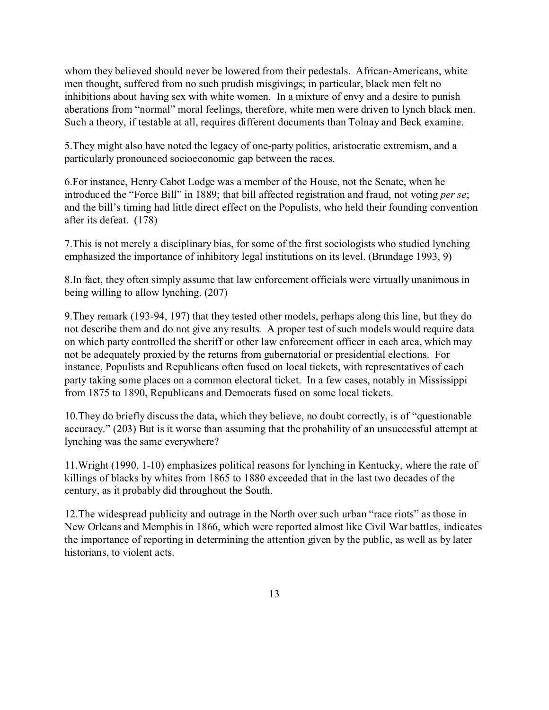whom they believed should never be lowered from their pedestals. African-Americans, white men thought, suffered from no such prudish misgivings; in particular, black men felt no inhibitions about having sex with white women. In a mixture of envy and a desire to punish aberations from "normal" moral feelings, therefore, white men were driven to lynch black men. Such a theory, if testable at all, requires different documents than Tolnay and Beck examine.

5.They might also have noted the legacy of one-party politics, aristocratic extremism, and a particularly pronounced socioeconomic gap between the races.

6.For instance, Henry Cabot Lodge was a member of the House, not the Senate, when he introduced the "Force Bill" in 1889; that bill affected registration and fraud, not voting *per se*; and the bill's timing had little direct effect on the Populists, who held their founding convention after its defeat. (178)

7.This is not merely a disciplinary bias, for some of the first sociologists who studied lynching emphasized the importance of inhibitory legal institutions on its level. (Brundage 1993, 9)

8.In fact, they often simply assume that law enforcement officials were virtually unanimous in being willing to allow lynching. (207)

9.They remark (193-94, 197) that they tested other models, perhaps along this line, but they do not describe them and do not give any results. A proper test of such models would require data on which party controlled the sheriff or other law enforcement officer in each area, which may not be adequately proxied by the returns from gubernatorial or presidential elections. For instance, Populists and Republicans often fused on local tickets, with representatives of each party taking some places on a common electoral ticket. In a few cases, notably in Mississippi from 1875 to 1890, Republicans and Democrats fused on some local tickets.

10.They do briefly discuss the data, which they believe, no doubt correctly, is of "questionable accuracy." (203) But is it worse than assuming that the probability of an unsuccessful attempt at lynching was the same everywhere?

11.Wright (1990, 1-10) emphasizes political reasons for lynching in Kentucky, where the rate of killings of blacks by whites from 1865 to 1880 exceeded that in the last two decades of the century, as it probably did throughout the South.

12.The widespread publicity and outrage in the North over such urban "race riots" as those in New Orleans and Memphis in 1866, which were reported almost like Civil War battles, indicates the importance of reporting in determining the attention given by the public, as well as by later historians, to violent acts.